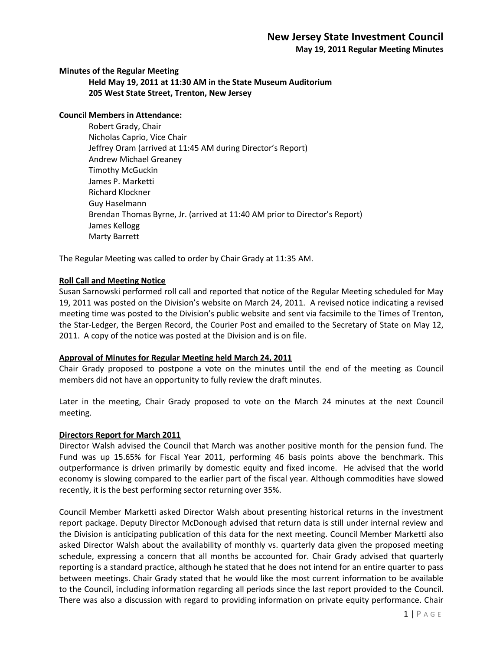# **New Jersey State Investment Council**

**May 19, 2011 Regular Meeting Minutes**

**Minutes of the Regular Meeting**

**Held May 19, 2011 at 11:30 AM in the State Museum Auditorium 205 West State Street, Trenton, New Jersey**

## **Council Members in Attendance:**

Robert Grady, Chair Nicholas Caprio, Vice Chair Jeffrey Oram (arrived at 11:45 AM during Director's Report) Andrew Michael Greaney Timothy McGuckin James P. Marketti Richard Klockner Guy Haselmann Brendan Thomas Byrne, Jr. (arrived at 11:40 AM prior to Director's Report) James Kellogg Marty Barrett

The Regular Meeting was called to order by Chair Grady at 11:35 AM.

## **Roll Call and Meeting Notice**

Susan Sarnowski performed roll call and reported that notice of the Regular Meeting scheduled for May 19, 2011 was posted on the Division's website on March 24, 2011. A revised notice indicating a revised meeting time was posted to the Division's public website and sent via facsimile to the Times of Trenton, the Star-Ledger, the Bergen Record, the Courier Post and emailed to the Secretary of State on May 12, 2011. A copy of the notice was posted at the Division and is on file.

#### **Approval of Minutes for Regular Meeting held March 24, 2011**

Chair Grady proposed to postpone a vote on the minutes until the end of the meeting as Council members did not have an opportunity to fully review the draft minutes.

Later in the meeting, Chair Grady proposed to vote on the March 24 minutes at the next Council meeting.

#### **Directors Report for March 2011**

Director Walsh advised the Council that March was another positive month for the pension fund. The Fund was up 15.65% for Fiscal Year 2011, performing 46 basis points above the benchmark. This outperformance is driven primarily by domestic equity and fixed income. He advised that the world economy is slowing compared to the earlier part of the fiscal year. Although commodities have slowed recently, it is the best performing sector returning over 35%.

Council Member Marketti asked Director Walsh about presenting historical returns in the investment report package. Deputy Director McDonough advised that return data is still under internal review and the Division is anticipating publication of this data for the next meeting. Council Member Marketti also asked Director Walsh about the availability of monthly vs. quarterly data given the proposed meeting schedule, expressing a concern that all months be accounted for. Chair Grady advised that quarterly reporting is a standard practice, although he stated that he does not intend for an entire quarter to pass between meetings. Chair Grady stated that he would like the most current information to be available to the Council, including information regarding all periods since the last report provided to the Council. There was also a discussion with regard to providing information on private equity performance. Chair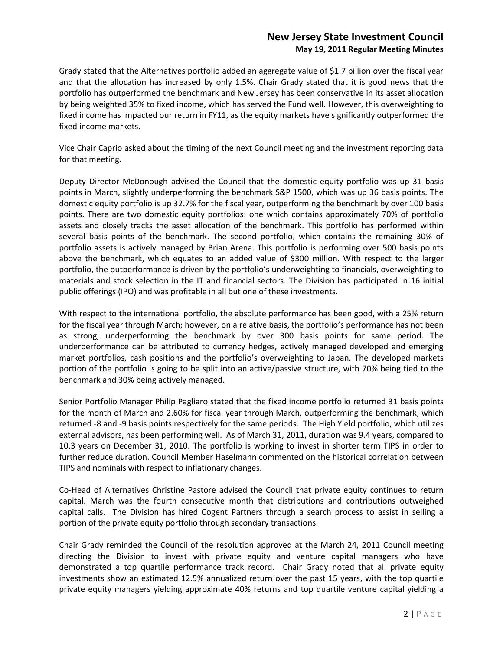Grady stated that the Alternatives portfolio added an aggregate value of \$1.7 billion over the fiscal year and that the allocation has increased by only 1.5%. Chair Grady stated that it is good news that the portfolio has outperformed the benchmark and New Jersey has been conservative in its asset allocation by being weighted 35% to fixed income, which has served the Fund well. However, this overweighting to fixed income has impacted our return in FY11, as the equity markets have significantly outperformed the fixed income markets.

Vice Chair Caprio asked about the timing of the next Council meeting and the investment reporting data for that meeting.

Deputy Director McDonough advised the Council that the domestic equity portfolio was up 31 basis points in March, slightly underperforming the benchmark S&P 1500, which was up 36 basis points. The domestic equity portfolio is up 32.7% for the fiscal year, outperforming the benchmark by over 100 basis points. There are two domestic equity portfolios: one which contains approximately 70% of portfolio assets and closely tracks the asset allocation of the benchmark. This portfolio has performed within several basis points of the benchmark. The second portfolio, which contains the remaining 30% of portfolio assets is actively managed by Brian Arena. This portfolio is performing over 500 basis points above the benchmark, which equates to an added value of \$300 million. With respect to the larger portfolio, the outperformance is driven by the portfolio's underweighting to financials, overweighting to materials and stock selection in the IT and financial sectors. The Division has participated in 16 initial public offerings (IPO) and was profitable in all but one of these investments.

With respect to the international portfolio, the absolute performance has been good, with a 25% return for the fiscal year through March; however, on a relative basis, the portfolio's performance has not been as strong, underperforming the benchmark by over 300 basis points for same period. The underperformance can be attributed to currency hedges, actively managed developed and emerging market portfolios, cash positions and the portfolio's overweighting to Japan. The developed markets portion of the portfolio is going to be split into an active/passive structure, with 70% being tied to the benchmark and 30% being actively managed.

Senior Portfolio Manager Philip Pagliaro stated that the fixed income portfolio returned 31 basis points for the month of March and 2.60% for fiscal year through March, outperforming the benchmark, which returned -8 and -9 basis points respectively for the same periods. The High Yield portfolio, which utilizes external advisors, has been performing well. As of March 31, 2011, duration was 9.4 years, compared to 10.3 years on December 31, 2010. The portfolio is working to invest in shorter term TIPS in order to further reduce duration. Council Member Haselmann commented on the historical correlation between TIPS and nominals with respect to inflationary changes.

Co-Head of Alternatives Christine Pastore advised the Council that private equity continues to return capital. March was the fourth consecutive month that distributions and contributions outweighed capital calls. The Division has hired Cogent Partners through a search process to assist in selling a portion of the private equity portfolio through secondary transactions.

Chair Grady reminded the Council of the resolution approved at the March 24, 2011 Council meeting directing the Division to invest with private equity and venture capital managers who have demonstrated a top quartile performance track record. Chair Grady noted that all private equity investments show an estimated 12.5% annualized return over the past 15 years, with the top quartile private equity managers yielding approximate 40% returns and top quartile venture capital yielding a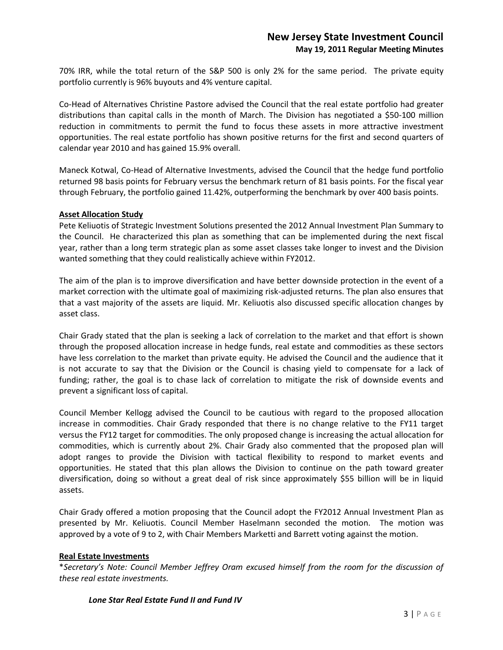70% IRR, while the total return of the S&P 500 is only 2% for the same period. The private equity portfolio currently is 96% buyouts and 4% venture capital.

Co-Head of Alternatives Christine Pastore advised the Council that the real estate portfolio had greater distributions than capital calls in the month of March. The Division has negotiated a \$50-100 million reduction in commitments to permit the fund to focus these assets in more attractive investment opportunities. The real estate portfolio has shown positive returns for the first and second quarters of calendar year 2010 and has gained 15.9% overall.

Maneck Kotwal, Co-Head of Alternative Investments, advised the Council that the hedge fund portfolio returned 98 basis points for February versus the benchmark return of 81 basis points. For the fiscal year through February, the portfolio gained 11.42%, outperforming the benchmark by over 400 basis points.

## **Asset Allocation Study**

Pete Keliuotis of Strategic Investment Solutions presented the 2012 Annual Investment Plan Summary to the Council. He characterized this plan as something that can be implemented during the next fiscal year, rather than a long term strategic plan as some asset classes take longer to invest and the Division wanted something that they could realistically achieve within FY2012.

The aim of the plan is to improve diversification and have better downside protection in the event of a market correction with the ultimate goal of maximizing risk-adjusted returns. The plan also ensures that that a vast majority of the assets are liquid. Mr. Keliuotis also discussed specific allocation changes by asset class.

Chair Grady stated that the plan is seeking a lack of correlation to the market and that effort is shown through the proposed allocation increase in hedge funds, real estate and commodities as these sectors have less correlation to the market than private equity. He advised the Council and the audience that it is not accurate to say that the Division or the Council is chasing yield to compensate for a lack of funding; rather, the goal is to chase lack of correlation to mitigate the risk of downside events and prevent a significant loss of capital.

Council Member Kellogg advised the Council to be cautious with regard to the proposed allocation increase in commodities. Chair Grady responded that there is no change relative to the FY11 target versus the FY12 target for commodities. The only proposed change is increasing the actual allocation for commodities, which is currently about 2%. Chair Grady also commented that the proposed plan will adopt ranges to provide the Division with tactical flexibility to respond to market events and opportunities. He stated that this plan allows the Division to continue on the path toward greater diversification, doing so without a great deal of risk since approximately \$55 billion will be in liquid assets.

Chair Grady offered a motion proposing that the Council adopt the FY2012 Annual Investment Plan as presented by Mr. Keliuotis. Council Member Haselmann seconded the motion. The motion was approved by a vote of 9 to 2, with Chair Members Marketti and Barrett voting against the motion.

#### **Real Estate Investments**

\**Secretary's Note: Council Member Jeffrey Oram excused himself from the room for the discussion of these real estate investments.* 

#### *Lone Star Real Estate Fund II and Fund IV*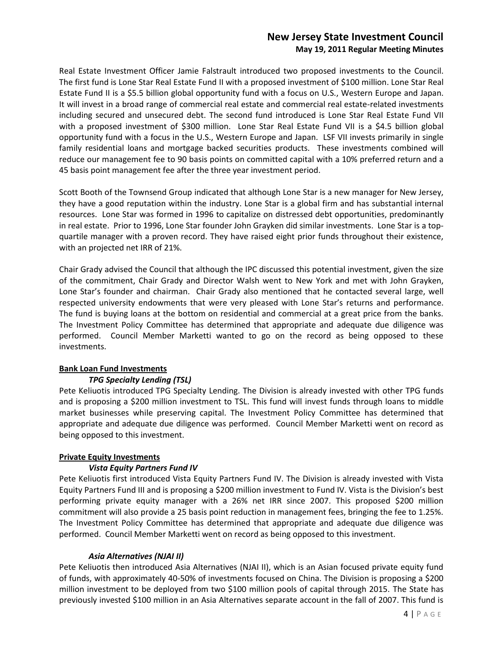Real Estate Investment Officer Jamie Falstrault introduced two proposed investments to the Council. The first fund is Lone Star Real Estate Fund II with a proposed investment of \$100 million. Lone Star Real Estate Fund II is a \$5.5 billion global opportunity fund with a focus on U.S., Western Europe and Japan. It will invest in a broad range of commercial real estate and commercial real estate-related investments including secured and unsecured debt. The second fund introduced is Lone Star Real Estate Fund VII with a proposed investment of \$300 million. Lone Star Real Estate Fund VII is a \$4.5 billion global opportunity fund with a focus in the U.S., Western Europe and Japan. LSF VII invests primarily in single family residential loans and mortgage backed securities products. These investments combined will reduce our management fee to 90 basis points on committed capital with a 10% preferred return and a 45 basis point management fee after the three year investment period.

Scott Booth of the Townsend Group indicated that although Lone Star is a new manager for New Jersey, they have a good reputation within the industry. Lone Star is a global firm and has substantial internal resources. Lone Star was formed in 1996 to capitalize on distressed debt opportunities, predominantly in real estate. Prior to 1996, Lone Star founder John Grayken did similar investments. Lone Star is a topquartile manager with a proven record. They have raised eight prior funds throughout their existence, with an projected net IRR of 21%.

Chair Grady advised the Council that although the IPC discussed this potential investment, given the size of the commitment, Chair Grady and Director Walsh went to New York and met with John Grayken, Lone Star's founder and chairman. Chair Grady also mentioned that he contacted several large, well respected university endowments that were very pleased with Lone Star's returns and performance. The fund is buying loans at the bottom on residential and commercial at a great price from the banks. The Investment Policy Committee has determined that appropriate and adequate due diligence was performed. Council Member Marketti wanted to go on the record as being opposed to these investments.

## **Bank Loan Fund Investments**

## *TPG Specialty Lending (TSL)*

Pete Keliuotis introduced TPG Specialty Lending. The Division is already invested with other TPG funds and is proposing a \$200 million investment to TSL. This fund will invest funds through loans to middle market businesses while preserving capital. The Investment Policy Committee has determined that appropriate and adequate due diligence was performed. Council Member Marketti went on record as being opposed to this investment.

## **Private Equity Investments**

## *Vista Equity Partners Fund IV*

Pete Keliuotis first introduced Vista Equity Partners Fund IV. The Division is already invested with Vista Equity Partners Fund III and is proposing a \$200 million investment to Fund IV. Vista is the Division's best performing private equity manager with a 26% net IRR since 2007. This proposed \$200 million commitment will also provide a 25 basis point reduction in management fees, bringing the fee to 1.25%. The Investment Policy Committee has determined that appropriate and adequate due diligence was performed. Council Member Marketti went on record as being opposed to this investment.

## *Asia Alternatives (NJAI II)*

Pete Keliuotis then introduced Asia Alternatives (NJAI II), which is an Asian focused private equity fund of funds, with approximately 40-50% of investments focused on China. The Division is proposing a \$200 million investment to be deployed from two \$100 million pools of capital through 2015. The State has previously invested \$100 million in an Asia Alternatives separate account in the fall of 2007. This fund is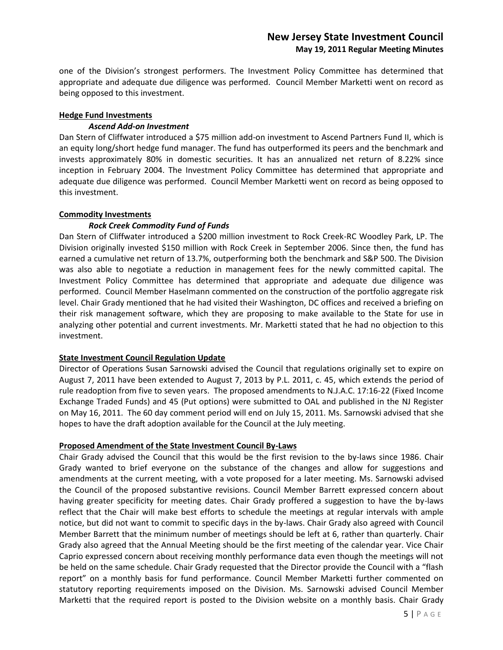one of the Division's strongest performers. The Investment Policy Committee has determined that appropriate and adequate due diligence was performed. Council Member Marketti went on record as being opposed to this investment.

#### **Hedge Fund Investments**

## *Ascend Add-on Investment*

Dan Stern of Cliffwater introduced a \$75 million add-on investment to Ascend Partners Fund II, which is an equity long/short hedge fund manager. The fund has outperformed its peers and the benchmark and invests approximately 80% in domestic securities. It has an annualized net return of 8.22% since inception in February 2004. The Investment Policy Committee has determined that appropriate and adequate due diligence was performed. Council Member Marketti went on record as being opposed to this investment.

## **Commodity Investments**

## *Rock Creek Commodity Fund of Funds*

Dan Stern of Cliffwater introduced a \$200 million investment to Rock Creek-RC Woodley Park, LP. The Division originally invested \$150 million with Rock Creek in September 2006. Since then, the fund has earned a cumulative net return of 13.7%, outperforming both the benchmark and S&P 500. The Division was also able to negotiate a reduction in management fees for the newly committed capital. The Investment Policy Committee has determined that appropriate and adequate due diligence was performed. Council Member Haselmann commented on the construction of the portfolio aggregate risk level. Chair Grady mentioned that he had visited their Washington, DC offices and received a briefing on their risk management software, which they are proposing to make available to the State for use in analyzing other potential and current investments. Mr. Marketti stated that he had no objection to this investment.

## **State Investment Council Regulation Update**

Director of Operations Susan Sarnowski advised the Council that regulations originally set to expire on August 7, 2011 have been extended to August 7, 2013 by P.L. 2011, c. 45, which extends the period of rule readoption from five to seven years. The proposed amendments to N.J.A.C. 17:16-22 (Fixed Income Exchange Traded Funds) and 45 (Put options) were submitted to OAL and published in the NJ Register on May 16, 2011. The 60 day comment period will end on July 15, 2011. Ms. Sarnowski advised that she hopes to have the draft adoption available for the Council at the July meeting.

#### **Proposed Amendment of the State Investment Council By-Laws**

Chair Grady advised the Council that this would be the first revision to the by-laws since 1986. Chair Grady wanted to brief everyone on the substance of the changes and allow for suggestions and amendments at the current meeting, with a vote proposed for a later meeting. Ms. Sarnowski advised the Council of the proposed substantive revisions. Council Member Barrett expressed concern about having greater specificity for meeting dates. Chair Grady proffered a suggestion to have the by-laws reflect that the Chair will make best efforts to schedule the meetings at regular intervals with ample notice, but did not want to commit to specific days in the by-laws. Chair Grady also agreed with Council Member Barrett that the minimum number of meetings should be left at 6, rather than quarterly. Chair Grady also agreed that the Annual Meeting should be the first meeting of the calendar year. Vice Chair Caprio expressed concern about receiving monthly performance data even though the meetings will not be held on the same schedule. Chair Grady requested that the Director provide the Council with a "flash report" on a monthly basis for fund performance. Council Member Marketti further commented on statutory reporting requirements imposed on the Division. Ms. Sarnowski advised Council Member Marketti that the required report is posted to the Division website on a monthly basis. Chair Grady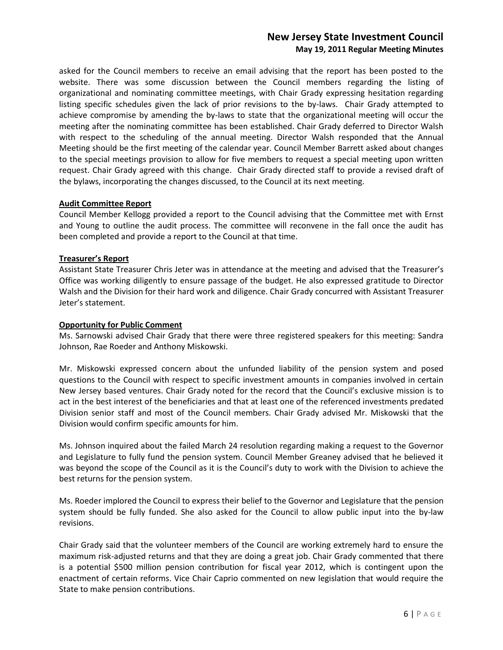asked for the Council members to receive an email advising that the report has been posted to the website. There was some discussion between the Council members regarding the listing of organizational and nominating committee meetings, with Chair Grady expressing hesitation regarding listing specific schedules given the lack of prior revisions to the by-laws. Chair Grady attempted to achieve compromise by amending the by-laws to state that the organizational meeting will occur the meeting after the nominating committee has been established. Chair Grady deferred to Director Walsh with respect to the scheduling of the annual meeting. Director Walsh responded that the Annual Meeting should be the first meeting of the calendar year. Council Member Barrett asked about changes to the special meetings provision to allow for five members to request a special meeting upon written request. Chair Grady agreed with this change. Chair Grady directed staff to provide a revised draft of the bylaws, incorporating the changes discussed, to the Council at its next meeting.

## **Audit Committee Report**

Council Member Kellogg provided a report to the Council advising that the Committee met with Ernst and Young to outline the audit process. The committee will reconvene in the fall once the audit has been completed and provide a report to the Council at that time.

## **Treasurer's Report**

Assistant State Treasurer Chris Jeter was in attendance at the meeting and advised that the Treasurer's Office was working diligently to ensure passage of the budget. He also expressed gratitude to Director Walsh and the Division for their hard work and diligence. Chair Grady concurred with Assistant Treasurer Jeter's statement.

#### **Opportunity for Public Comment**

Ms. Sarnowski advised Chair Grady that there were three registered speakers for this meeting: Sandra Johnson, Rae Roeder and Anthony Miskowski.

Mr. Miskowski expressed concern about the unfunded liability of the pension system and posed questions to the Council with respect to specific investment amounts in companies involved in certain New Jersey based ventures. Chair Grady noted for the record that the Council's exclusive mission is to act in the best interest of the beneficiaries and that at least one of the referenced investments predated Division senior staff and most of the Council members. Chair Grady advised Mr. Miskowski that the Division would confirm specific amounts for him.

Ms. Johnson inquired about the failed March 24 resolution regarding making a request to the Governor and Legislature to fully fund the pension system. Council Member Greaney advised that he believed it was beyond the scope of the Council as it is the Council's duty to work with the Division to achieve the best returns for the pension system.

Ms. Roeder implored the Council to express their belief to the Governor and Legislature that the pension system should be fully funded. She also asked for the Council to allow public input into the by-law revisions.

Chair Grady said that the volunteer members of the Council are working extremely hard to ensure the maximum risk-adjusted returns and that they are doing a great job. Chair Grady commented that there is a potential \$500 million pension contribution for fiscal year 2012, which is contingent upon the enactment of certain reforms. Vice Chair Caprio commented on new legislation that would require the State to make pension contributions.